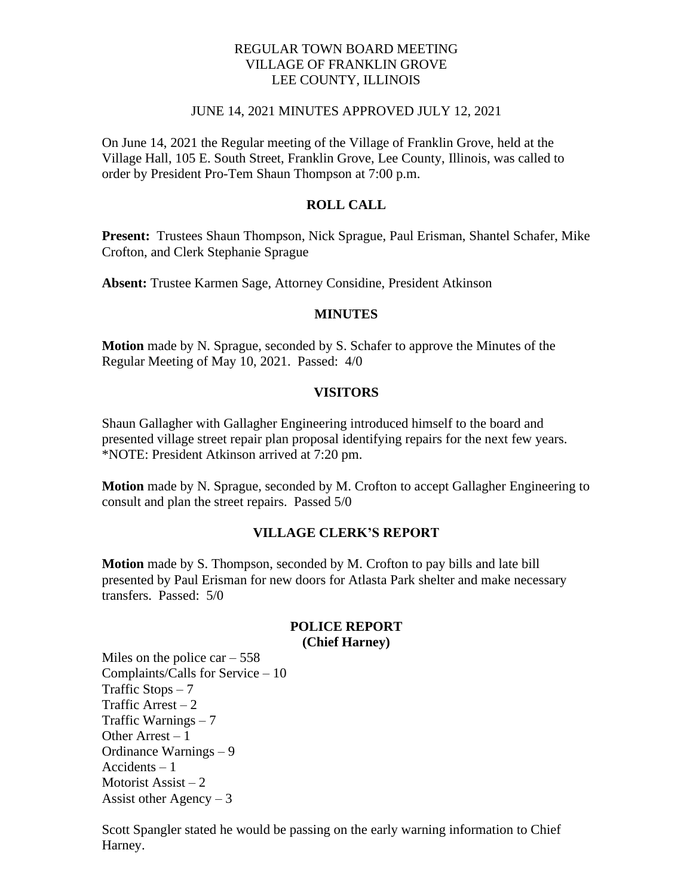## REGULAR TOWN BOARD MEETING VILLAGE OF FRANKLIN GROVE LEE COUNTY, ILLINOIS

### JUNE 14, 2021 MINUTES APPROVED JULY 12, 2021

On June 14, 2021 the Regular meeting of the Village of Franklin Grove, held at the Village Hall, 105 E. South Street, Franklin Grove, Lee County, Illinois, was called to order by President Pro-Tem Shaun Thompson at 7:00 p.m.

## **ROLL CALL**

**Present:** Trustees Shaun Thompson, Nick Sprague, Paul Erisman, Shantel Schafer, Mike Crofton, and Clerk Stephanie Sprague

**Absent:** Trustee Karmen Sage, Attorney Considine, President Atkinson

#### **MINUTES**

**Motion** made by N. Sprague, seconded by S. Schafer to approve the Minutes of the Regular Meeting of May 10, 2021. Passed: 4/0

#### **VISITORS**

Shaun Gallagher with Gallagher Engineering introduced himself to the board and presented village street repair plan proposal identifying repairs for the next few years. \*NOTE: President Atkinson arrived at 7:20 pm.

**Motion** made by N. Sprague, seconded by M. Crofton to accept Gallagher Engineering to consult and plan the street repairs. Passed 5/0

### **VILLAGE CLERK'S REPORT**

**Motion** made by S. Thompson, seconded by M. Crofton to pay bills and late bill presented by Paul Erisman for new doors for Atlasta Park shelter and make necessary transfers. Passed: 5/0

#### **POLICE REPORT (Chief Harney)**

Miles on the police car  $-558$ Complaints/Calls for Service – 10 Traffic Stops  $-7$ Traffic Arrest  $-2$ Traffic Warnings – 7 Other Arrest  $-1$ Ordinance Warnings – 9 Accidents – 1 Motorist Assist  $-2$ Assist other Agency  $-3$ 

Scott Spangler stated he would be passing on the early warning information to Chief Harney.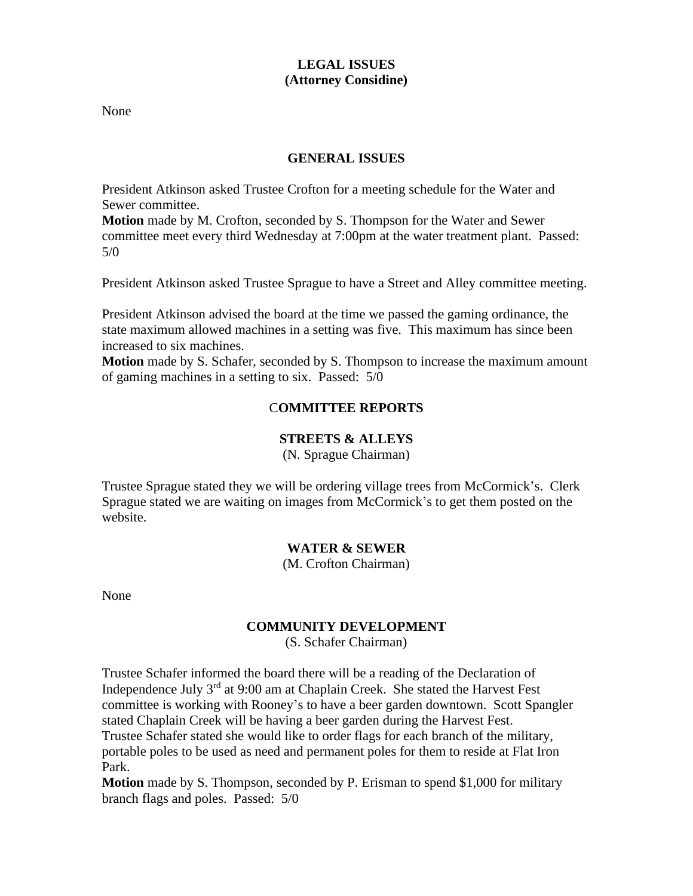# **LEGAL ISSUES (Attorney Considine)**

None

# **GENERAL ISSUES**

President Atkinson asked Trustee Crofton for a meeting schedule for the Water and Sewer committee.

**Motion** made by M. Crofton, seconded by S. Thompson for the Water and Sewer committee meet every third Wednesday at 7:00pm at the water treatment plant. Passed: 5/0

President Atkinson asked Trustee Sprague to have a Street and Alley committee meeting.

President Atkinson advised the board at the time we passed the gaming ordinance, the state maximum allowed machines in a setting was five. This maximum has since been increased to six machines.

**Motion** made by S. Schafer, seconded by S. Thompson to increase the maximum amount of gaming machines in a setting to six. Passed: 5/0

# C**OMMITTEE REPORTS**

## **STREETS & ALLEYS**

(N. Sprague Chairman)

Trustee Sprague stated they we will be ordering village trees from McCormick's. Clerk Sprague stated we are waiting on images from McCormick's to get them posted on the website.

## **WATER & SEWER**

(M. Crofton Chairman)

None

## **COMMUNITY DEVELOPMENT**

(S. Schafer Chairman)

Trustee Schafer informed the board there will be a reading of the Declaration of Independence July  $3<sup>rd</sup>$  at 9:00 am at Chaplain Creek. She stated the Harvest Fest committee is working with Rooney's to have a beer garden downtown. Scott Spangler stated Chaplain Creek will be having a beer garden during the Harvest Fest. Trustee Schafer stated she would like to order flags for each branch of the military, portable poles to be used as need and permanent poles for them to reside at Flat Iron Park.

**Motion** made by S. Thompson, seconded by P. Erisman to spend \$1,000 for military branch flags and poles. Passed: 5/0